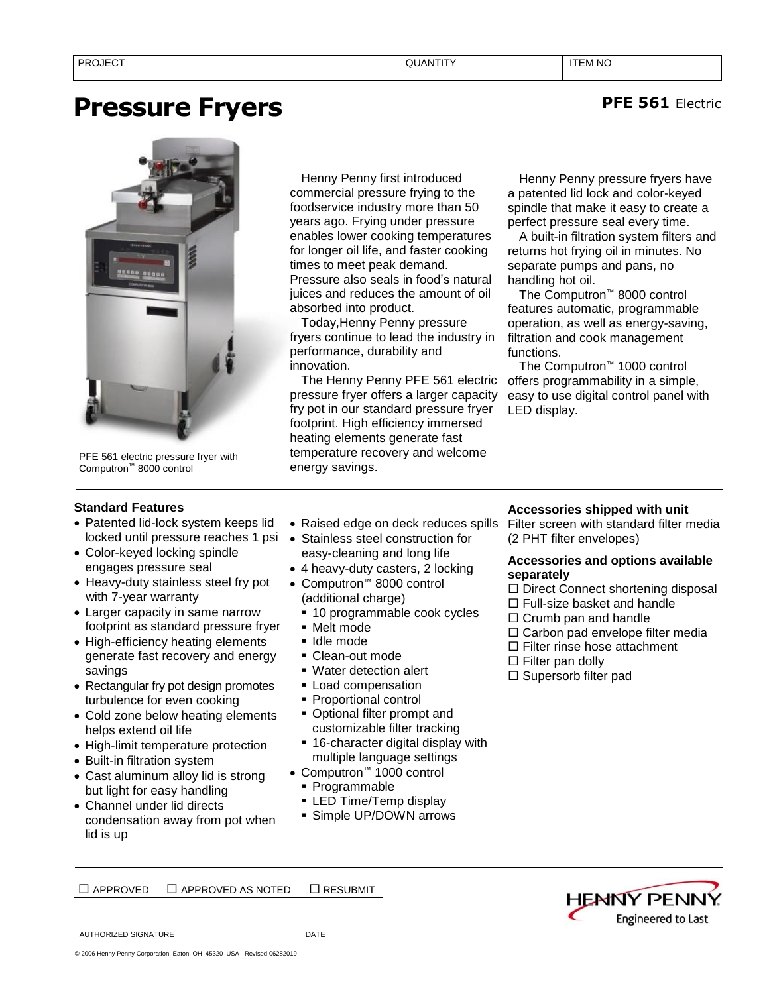# **Pressure Fryers**



PFE 561 electric pressure fryer with Computron™ 8000 control

Henny Penny first introduced commercial pressure frying to the foodservice industry more than 50 years ago. Frying under pressure enables lower cooking temperatures for longer oil life, and faster cooking times to meet peak demand. Pressure also seals in food's natural juices and reduces the amount of oil absorbed into product.

Today,Henny Penny pressure fryers continue to lead the industry in performance, durability and innovation.

The Henny Penny PFE 561 electric pressure fryer offers a larger capacity fry pot in our standard pressure fryer footprint. High efficiency immersed heating elements generate fast temperature recovery and welcome energy savings.

Henny Penny pressure fryers have a patented lid lock and color-keyed spindle that make it easy to create a perfect pressure seal every time.

A built-in filtration system filters and returns hot frying oil in minutes. No separate pumps and pans, no handling hot oil.

The Computron™ 8000 control features automatic, programmable operation, as well as energy-saving, filtration and cook management functions.

The Computron™ 1000 control offers programmability in a simple, easy to use digital control panel with LED display.

# **Standard Features**

- Patented lid-lock system keeps lid locked until pressure reaches 1 psi
- Color-keyed locking spindle engages pressure seal
- Heavy-duty stainless steel fry pot with 7-year warranty
- Larger capacity in same narrow footprint as standard pressure fryer
- High-efficiency heating elements generate fast recovery and energy savings
- Rectangular fry pot design promotes turbulence for even cooking
- Cold zone below heating elements helps extend oil life
- High-limit temperature protection
- Built-in filtration system
- Cast aluminum alloy lid is strong but light for easy handling
- Channel under lid directs condensation away from pot when lid is up
- Raised edge on deck reduces spills
- Stainless steel construction for easy-cleaning and long life
- 4 heavy-duty casters, 2 locking
- Computron™ 8000 control (additional charge)
	- 10 programmable cook cycles
	- Melt mode
	- Idle mode
	- Clean-out mode
	- Water detection alert
	- **Load compensation**
	- Proportional control
	- Optional filter prompt and customizable filter tracking
	- 16-character digital display with multiple language settings
- Computron™ 1000 control
	- Programmable
	- **ELED Time/Temp display**
	- **E** Simple UP/DOWN arrows

# **Accessories shipped with unit**

Filter screen with standard filter media (2 PHT filter envelopes)

## **Accessories and options available separately**

- $\Box$  Direct Connect shortening disposal
- $\Box$  Full-size basket and handle
- $\Box$  Crumb pan and handle
- $\Box$  Carbon pad envelope filter media
- $\Box$  Filter rinse hose attachment
- $\Box$  Filter pan dolly
- $\square$  Supersorb filter pad

APPROVED APPROVED AS NOTED RESUBMIT

AUTHORIZED SIGNATURE **DATE** 



**PFE 561** Electric